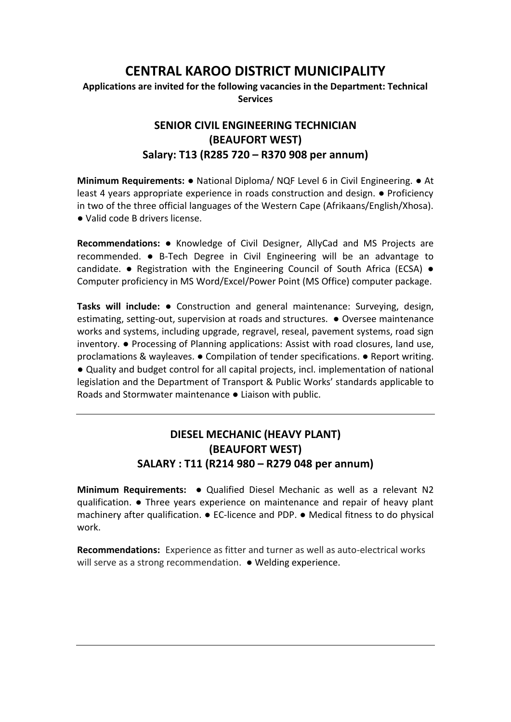# **CENTRAL KAROO DISTRICT MUNICIPALITY**

#### **Applications are invited for the following vacancies in the Department: Technical Services**

## **SENIOR CIVIL ENGINEERING TECHNICIAN (BEAUFORT WEST) Salary: T13 (R285 720 – R370 908 per annum)**

**Minimum Requirements:** ● National Diploma/ NQF Level 6 in Civil Engineering. ● At least 4 years appropriate experience in roads construction and design. ● Proficiency in two of the three official languages of the Western Cape (Afrikaans/English/Xhosa). ● Valid code B drivers license.

**Recommendations:** ● Knowledge of Civil Designer, AllyCad and MS Projects are recommended. ● B-Tech Degree in Civil Engineering will be an advantage to candidate.  $\bullet$  Registration with the Engineering Council of South Africa (ECSA)  $\bullet$ Computer proficiency in MS Word/Excel/Power Point (MS Office) computer package.

**Tasks will include:** ● Construction and general maintenance: Surveying, design, estimating, setting-out, supervision at roads and structures. ● Oversee maintenance works and systems, including upgrade, regravel, reseal, pavement systems, road sign inventory. ● Processing of Planning applications: Assist with road closures, land use, proclamations & wayleaves. ● Compilation of tender specifications. ● Report writing. ● Quality and budget control for all capital projects, incl. implementation of national legislation and the Department of Transport & Public Works' standards applicable to Roads and Stormwater maintenance ● Liaison with public.

### **DIESEL MECHANIC (HEAVY PLANT) (BEAUFORT WEST) SALARY : T11 (R214 980 – R279 048 per annum)**

**Minimum Requirements: ●** Qualified Diesel Mechanic as well as a relevant N2 qualification. **●** Three years experience on maintenance and repair of heavy plant machinery after qualification. **●** EC-licence and PDP. **●** Medical fitness to do physical work.

**Recommendations:** Experience as fitter and turner as well as auto-electrical works will serve as a strong recommendation. **●** Welding experience.